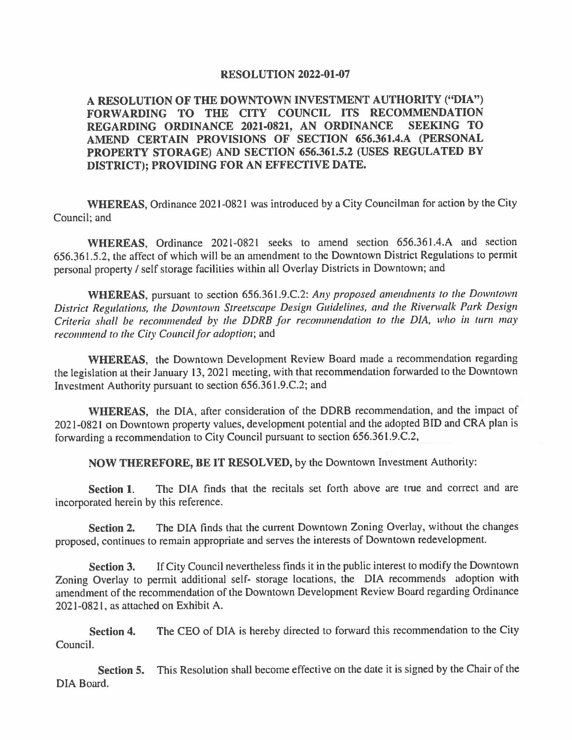## **RESOLUTION 2022-01-07**

**A RESOLUTION OF THE DOWNTOWN INVESTMENT AUTHORITY ("DIA") FORWARDING TO THE CITY COUNCIL ITS RECOMMENDATION REGARDING ORDINANCE 2021-0821, AN ORDINANCE AMEND CERTAIN PROVISIONS OF SECTION 656.361.4.A (PERSONAL PROPERTY STORAGE) AND SECTION 656.361.5.2 (USES REGULATED BY DISTRICT); PROVIDING FOR AN EFFECTIVE DATE.** 

**WHEREAS,** Ordinance 2021-0821 was introduced by a City Councilman for action by the City Council; and

**WHEREAS,** Ordinance 2021-0821 seeks to amend section 656.361.4.A and section 656.361.5.2, the affect of which will be an amendment to the Downtown District Regulations to permit personal property/ self storage facilities within all Overlay Districts in Downtown; and

**WHEREAS,** pursuant to section 656.361.9.C.2: *Any proposed amendments to the Downtown*  District Regulations, the Downtown Streetscape Design Guidelines, and the Riverwalk Park Design *Criteria shall be recommended by the DDRB for recommendation to the DIA, who in tum may recommend to the City Council for adoption;* and

**WHEREAS,** the Downtown Development Review Board made a recommendation regarding the legislation at their January 13, 2021 meeting, with that recommendation forwarded to the Downtown Investment Authority pursuant to section 656.361.9.C.2; and

**WHEREAS,** the DIA, after consideration of the DDRB recommendation, and the impact of 2021-0821 on Downtown property values, development potential and the adopted BID and CRA plan is forwarding a recommendation to City Council pursuant to section 656.361.9.C.2,

**NOW THEREFORE, BE** IT **RESOLVED,** by the Downtown Investment Authority:

**Section 1.** The DIA finds that the recitals set forth above are true and correct and are incorporated herein by this reference.

**Section 2.** The DIA finds that the current Downtown Zoning Overlay, without the changes proposed, continues to remain appropriate and serves the interests of Downtown redevelopment.

**Section 3.** If City Council nevertheless finds it in the public interest to modify the Downtown Zoning Overlay to permit additional self- storage locations, the DIA recommends adoption with amendment of the recommendation of the Downtown Development Review Board regarding Ordinance 2021-0821, as attached on Exhibit A.

**Section 4.**  Council. The CEO of DIA is hereby directed to forward this recommendation to the City

**Section 5.**  This Resolution shall become effective on the date it is signed by the Chair of the DIA Board.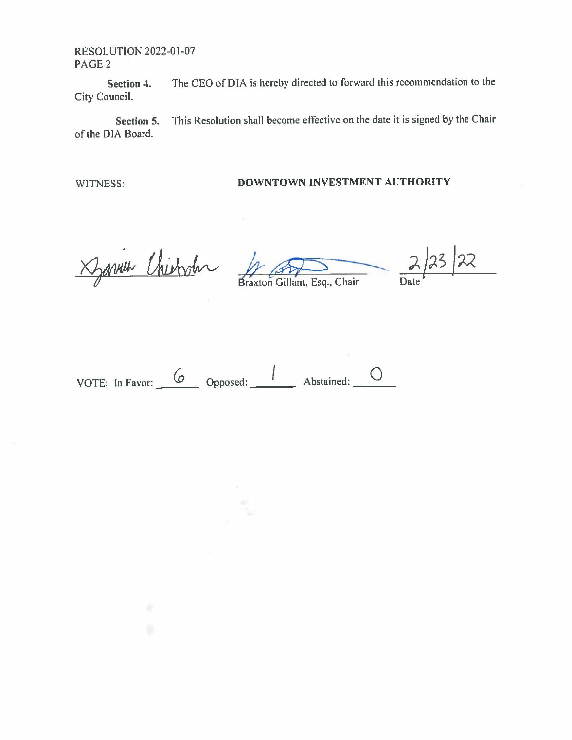RESOLUTION 2022-01-07 PAGE2

**Section 4.** The CEO of DIA is hereby directed to forward this recommendation to the City Council.

**Section 5.** This Resolution shall become effective on the date it is signed by the Chair of the DIA Board.

## WITNESS: **DOWNTOWN INVESTMENT AUTHORITY**

 $\approx$  chierder

A<br>raxton Gillam, Esq., Chair

 $22$ 23 Date

--- 0 VOTE: In Favor: \_\_ (o \_\_ Opposed: \_\_ / \_\_ Abstained: